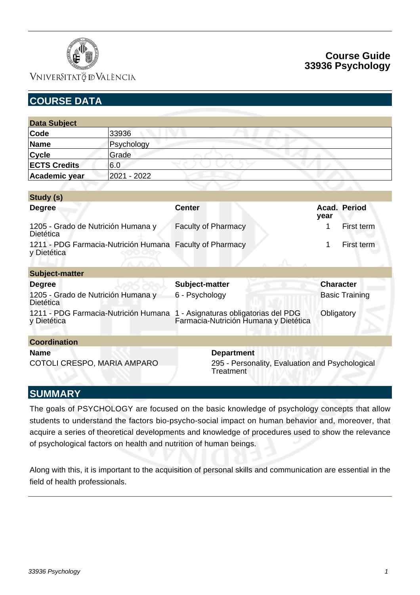

## VNIVERSITATÖ EVALÈNCIA

# **Course Guide 33936 Psychology**

| <b>COURSE DATA</b>                                                      |             |                                                                               |                       |
|-------------------------------------------------------------------------|-------------|-------------------------------------------------------------------------------|-----------------------|
|                                                                         |             |                                                                               |                       |
| <b>Data Subject</b>                                                     |             |                                                                               |                       |
| Code                                                                    | 33936       |                                                                               |                       |
| <b>Name</b>                                                             | Psychology  |                                                                               |                       |
| <b>Cycle</b>                                                            | Grade       |                                                                               |                       |
| <b>ECTS Credits</b>                                                     | 6.0         |                                                                               |                       |
| Academic year                                                           | 2021 - 2022 |                                                                               |                       |
|                                                                         |             |                                                                               |                       |
| Study (s)                                                               |             |                                                                               |                       |
| <b>Degree</b>                                                           |             | <b>Center</b>                                                                 | Acad. Period<br>year  |
| 1205 - Grado de Nutrición Humana y<br>Dietética                         |             | <b>Faculty of Pharmacy</b>                                                    | 1<br>First term       |
| 1211 - PDG Farmacia-Nutrición Humana Faculty of Pharmacy<br>y Dietética |             |                                                                               | First term<br>1       |
| <b>Subject-matter</b>                                                   |             |                                                                               |                       |
| <b>Degree</b>                                                           |             | Subject-matter                                                                | <b>Character</b>      |
| 1205 - Grado de Nutrición Humana y<br><b>Dietética</b>                  |             | 6 - Psychology                                                                | <b>Basic Training</b> |
| 1211 - PDG Farmacia-Nutrición Humana<br>y Dietética                     |             | 1 - Asignaturas obligatorias del PDG<br>Farmacia-Nutrición Humana y Dietética | Obligatory            |
| <b>Coordination</b>                                                     |             |                                                                               |                       |
| <b>Name</b>                                                             |             | <b>Department</b>                                                             |                       |
| COTOLI CRESPO, MARIA AMPARO                                             |             | 295 - Personality, Evaluation and Psychological<br>Treatment                  |                       |

# **SUMMARY**

The goals of PSYCHOLOGY are focused on the basic knowledge of psychology concepts that allow students to understand the factors bio-psycho-social impact on human behavior and, moreover, that acquire a series of theoretical developments and knowledge of procedures used to show the relevance of psychological factors on health and nutrition of human beings.

Along with this, it is important to the acquisition of personal skills and communication are essential in the field of health professionals.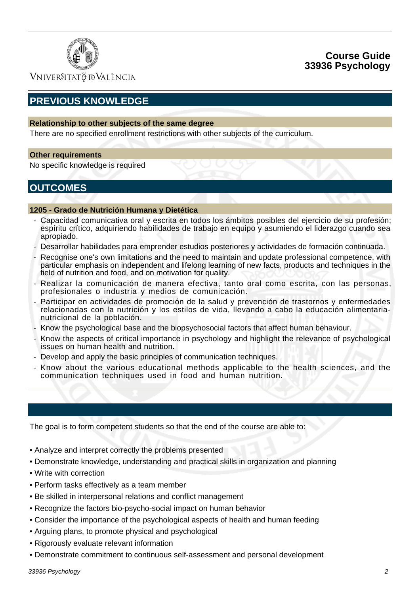

VNIVERSITATÖ IDVALÈNCIA

# **PREVIOUS KNOWLEDGE**

### **Relationship to other subjects of the same degree**

There are no specified enrollment restrictions with other subjects of the curriculum.

#### **Other requirements**

No specific knowledge is required

## **OUTCOMES**

#### **1205 - Grado de Nutrición Humana y Dietética**

- Capacidad comunicativa oral y escrita en todos los ámbitos posibles del ejercicio de su profesión; espíritu crítico, adquiriendo habilidades de trabajo en equipo y asumiendo el liderazgo cuando sea apropiado.
- Desarrollar habilidades para emprender estudios posteriores y actividades de formación continuada.
- Recognise one's own limitations and the need to maintain and update professional competence, with particular emphasis on independent and lifelong learning of new facts, products and techniques in the field of nutrition and food, and on motivation for quality.
- Realizar la comunicación de manera efectiva, tanto oral como escrita, con las personas, profesionales o industria y medios de comunicación.
- Participar en actividades de promoción de la salud y prevención de trastornos y enfermedades relacionadas con la nutrición y los estilos de vida, llevando a cabo la educación alimentarianutricional de la población.
- Know the psychological base and the biopsychosocial factors that affect human behaviour.
- Know the aspects of critical importance in psychology and highlight the relevance of psychological issues on human health and nutrition.
- Develop and apply the basic principles of communication techniques.
- Know about the various educational methods applicable to the health sciences, and the communication techniques used in food and human nutrition.

The goal is to form competent students so that the end of the course are able to:

- Analyze and interpret correctly the problems presented
- Demonstrate knowledge, understanding and practical skills in organization and planning
- Write with correction
- Perform tasks effectively as a team member
- Be skilled in interpersonal relations and conflict management
- Recognize the factors bio-psycho-social impact on human behavior
- Consider the importance of the psychological aspects of health and human feeding
- Arguing plans, to promote physical and psychological
- Rigorously evaluate relevant information
- Demonstrate commitment to continuous self-assessment and personal development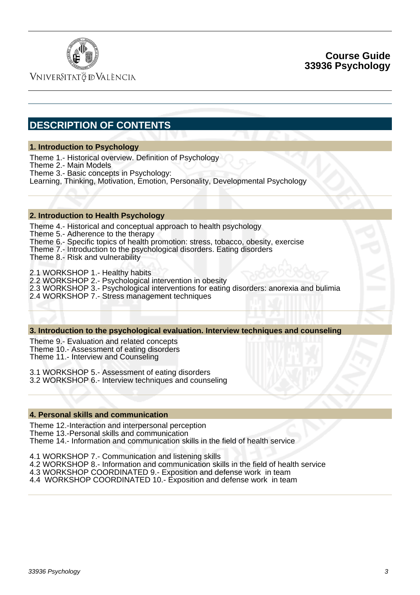

VNIVERSITATÖ IDVALÈNCIA

# **DESCRIPTION OF CONTENTS**

### **1. Introduction to Psychology**

Theme 1.- Historical overview. Definition of Psychology

Theme 2.- Main Models

Theme 3.- Basic concepts in Psychology:

Learning, Thinking, Motivation, Emotion, Personality, Developmental Psychology

### **2. Introduction to Health Psychology**

Theme 4.- Historical and conceptual approach to health psychology

Theme 5.- Adherence to the therapy

Theme 6.- Specific topics of health promotion: stress, tobacco, obesity, exercise

Theme 7.- Introduction to the psychological disorders. Eating disorders

Theme 8.- Risk and vulnerability

2.1 WORKSHOP 1.- Healthy habits

2.2 WORKSHOP 2.- Psychological intervention in obesity

2.3 WORKSHOP 3.- Psychological interventions for eating disorders: anorexia and bulimia

2.4 WORKSHOP 7.- Stress management techniques

### **3. Introduction to the psychological evaluation. Interview techniques and counseling**

Theme 9.- Evaluation and related concepts Theme 10.- Assessment of eating disorders Theme 11.- Interview and Counseling

3.1 WORKSHOP 5.- Assessment of eating disorders

3.2 WORKSHOP 6.- Interview techniques and counseling

### **4. Personal skills and communication**

Theme 12.-Interaction and interpersonal perception

Theme 13.-Personal skills and communication

Theme 14.- Information and communication skills in the field of health service

4.1 WORKSHOP 7.- Communication and listening skills

4.2 WORKSHOP 8.- Information and communication skills in the field of health service

4.3 WORKSHOP COORDINATED 9.- Exposition and defense work in team

4.4 WORKSHOP COORDINATED 10.- Exposition and defense work in team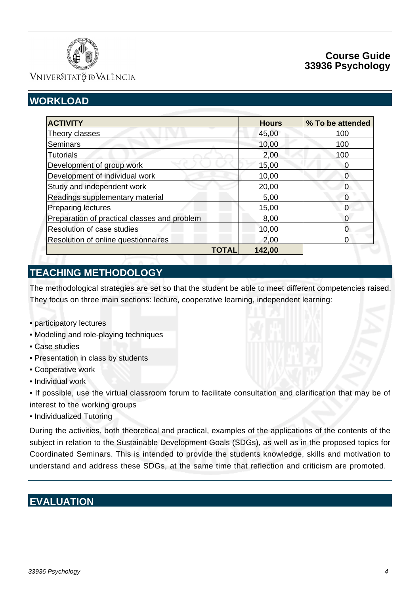

VNIVERSITATÖ ID VALÈNCIA

# **WORKLOAD**

| <b>ACTIVITY</b>                              | <b>Hours</b> | % To be attended |
|----------------------------------------------|--------------|------------------|
| Theory classes                               | 45,00        | 100              |
| <b>Seminars</b>                              | 10,00        | 100              |
| <b>Tutorials</b>                             | 2,00         | 100              |
| Development of group work                    | 15,00        | 0                |
| Development of individual work               | 10,00        | 0                |
| Study and independent work                   | 20,00        | $\Omega$         |
| Readings supplementary material              | 5,00         | 0                |
| <b>Preparing lectures</b>                    | 15,00        | 0                |
| Preparation of practical classes and problem | 8,00         |                  |
| Resolution of case studies                   | 10,00        | O                |
| Resolution of online questionnaires          | 2,00         | 0                |
| TOTAL                                        | 142,00       |                  |

# **TEACHING METHODOLOGY**

The methodological strategies are set so that the student be able to meet different competencies raised. They focus on three main sections: lecture, cooperative learning, independent learning:

- participatory lectures
- Modeling and role-playing techniques
- Case studies
- Presentation in class by students
- Cooperative work
- Individual work

• If possible, use the virtual classroom forum to facilitate consultation and clarification that may be of interest to the working groups

• Individualized Tutoring

During the activities, both theoretical and practical, examples of the applications of the contents of the subject in relation to the Sustainable Development Goals (SDGs), as well as in the proposed topics for Coordinated Seminars. This is intended to provide the students knowledge, skills and motivation to understand and address these SDGs, at the same time that reflection and criticism are promoted.

# **EVALUATION**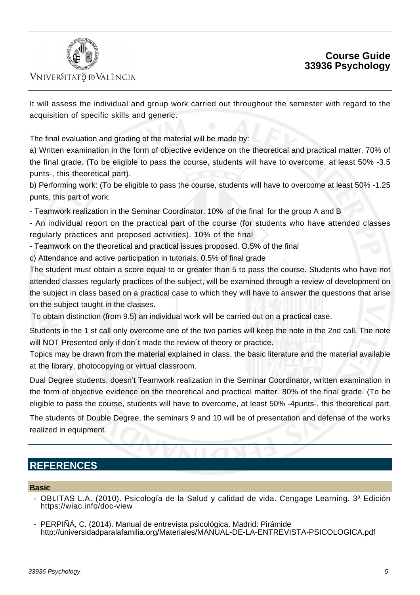



### VNIVERSITATÖ ID VALÈNCIA

It will assess the individual and group work carried out throughout the semester with regard to the acquisition of specific skills and generic.

The final evaluation and grading of the material will be made by:

a) Written examination in the form of objective evidence on the theoretical and practical matter. 70% of the final grade. (To be eligible to pass the course, students will have to overcome, at least 50% -3.5 punts-, this theoretical part).

b) Performing work: (To be eligible to pass the course, students will have to overcome at least 50% -1.25 punts, this part of work:

- Teamwork realization in the Seminar Coordinator. 10% of the final for the group A and B

- An individual report on the practical part of the course (for students who have attended classes regularly practices and proposed activities). 10% of the final

- Teamwork on the theoretical and practical issues proposed. O.5% of the final

c) Attendance and active participation in tutorials. 0.5% of final grade

The student must obtain a score equal to or greater than 5 to pass the course. Students who have not attended classes regularly practices of the subject, will be examined through a review of development on the subject in class based on a practical case to which they will have to answer the questions that arise on the subject taught in the classes.

To obtain distinction (from 9.5) an individual work will be carried out on a practical case.

Students in the 1 st call only overcome one of the two parties will keep the note in the 2nd call. The note will NOT Presented only if don´t made the review of theory or practice.

Topics may be drawn from the material explained in class, the basic literature and the material available at the library, photocopying or virtual classroom.

Dual Degree students, doesn't Teamwork realization in the Seminar Coordinator, written examination in the form of objective evidence on the theoretical and practical matter. 80% of the final grade. (To be eligible to pass the course, students will have to overcome, at least 50% -4punts-, this theoretical part.

The students of Double Degree, the seminars 9 and 10 will be of presentation and defense of the works realized in equipment.

# **REFERENCES**

### **Basic**

- OBLITAS L.A. (2010). Psicología de la Salud y calidad de vida. Cengage Learning. 3ª Edición https://wiac.info/doc-view
- PERPIÑÁ, C. (2014). Manual de entrevista psicológica. Madrid: Pirámide http://universidadparalafamilia.org/Materiales/MANUAL-DE-LA-ENTREVISTA-PSICOLOGICA.pdf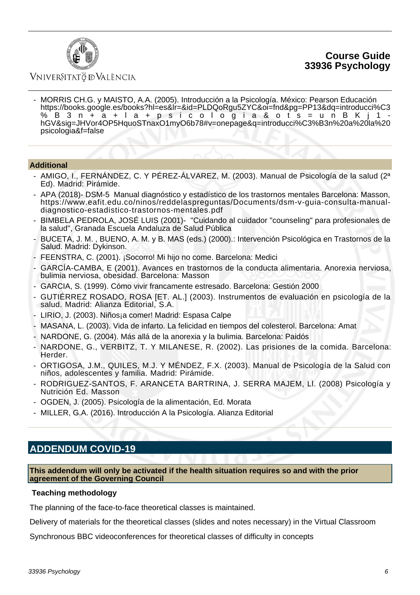

### Vniver§itatğ dValència

 - MORRIS CH.G. y MAISTO, A.A. (2005). Introducción a la Psicología. México: Pearson Educación https://books.google.es/books?hl=es&lr=&id=PLDQoRgu5ZYC&oi=fnd&pg=PP13&dq=introducci%C3 %B3n+a+la+psicologia&ots=unBKj1 hGV&sig=JHVor4OP5HquoSTnaxO1myO6b78#v=onepage&q=introducci%C3%B3n%20a%20la%20 psicologia&f=false

### **Additional**

- AMIGO, I., FERNÁNDEZ, C. Y PÉREZ-ÁLVAREZ, M. (2003). Manual de Psicología de la salud (2ª Ed). Madrid: Pirámide.
- APA (2018)- DSM-5 Manual diagnóstico y estadístico de los trastornos mentales Barcelona: Masson, https://www.eafit.edu.co/ninos/reddelaspreguntas/Documents/dsm-v-guia-consulta-manualdiagnostico-estadistico-trastornos-mentales.pdf
- BIMBELA PEDROLA, JOSÉ LUIS (2001)- "Cuidando al cuidador "counseling" para profesionales de la salud", Granada Escuela Andaluza de Salud Pública
- BUCETA, J. M. , BUENO, A. M. y B. MAS (eds.) (2000).: Intervención Psicológica en Trastornos de la Salud. Madrid: Dykinson.
- FEENSTRA, C. (2001). ¡Socorro! Mi hijo no come. Barcelona: Medici
- GARCÍA-CAMBA, E (2001). Avances en trastornos de la conducta alimentaria. Anorexia nerviosa, bulimia nerviosa, obesidad. Barcelona: Masson
- GARCIA, S. (1999). Cómo vivir francamente estresado. Barcelona: Gestión 2000
- GUTIÉRREZ ROSADO, ROSA [ET. AL.] (2003). Instrumentos de evaluación en psicología de la salud. Madrid: Alianza Editorial, S.A.
- LIRIO, J. (2003). Niños¡a comer! Madrid: Espasa Calpe
- MASANA, L. (2003). Vida de infarto. La felicidad en tiempos del colesterol. Barcelona: Amat
- NARDONE, G. (2004). Más allá de la anorexia y la bulimia. Barcelona: Paidós
- NARDONE, G., VERBITZ, T. Y MILANESE, R. (2002). Las prisiones de la comida. Barcelona: Herder.
- ORTIGOSA, J.M., QUILES, M.J. Y MÉNDEZ, F.X. (2003). Manual de Psicología de la Salud con niños, adolescentes y familia. Madrid: Pirámide.
- RODRIGUEZ-SANTOS, F. ARANCETA BARTRINA, J. SERRA MAJEM, Ll. (2008) Psicología y Nutrición Ed. Masson
- OGDEN, J. (2005). Psicología de la alimentación, Ed. Morata
- MILLER, G.A. (2016). Introducción A la Psicología. Alianza Editorial

## **ADDENDUM COVID-19**

**This addendum will only be activated if the health situation requires so and with the prior agreement of the Governing Council**

### **Teaching methodology**

The planning of the face-to-face theoretical classes is maintained.

Delivery of materials for the theoretical classes (slides and notes necessary) in the Virtual Classroom

Synchronous BBC videoconferences for theoretical classes of difficulty in concepts